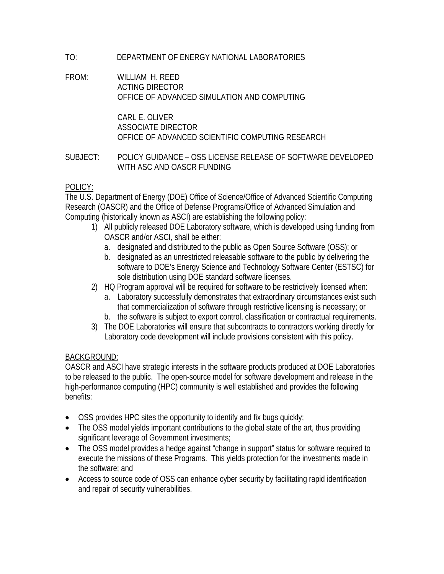# TO: DEPARTMENT OF ENERGY NATIONAL LABORATORIES

#### FROM: WILLIAM H. REED ACTING DIRECTOR OFFICE OF ADVANCED SIMULATION AND COMPUTING

 CARL E. OLIVER ASSOCIATE DIRECTOR OFFICE OF ADVANCED SCIENTIFIC COMPUTING RESEARCH

### SUBJECT: POLICY GUIDANCE – OSS LICENSE RELEASE OF SOFTWARE DEVELOPED WITH ASC AND OASCR FUNDING

## POLICY:

The U.S. Department of Energy (DOE) Office of Science/Office of Advanced Scientific Computing Research (OASCR) and the Office of Defense Programs/Office of Advanced Simulation and Computing (historically known as ASCI) are establishing the following policy:

- 1) All publicly released DOE Laboratory software, which is developed using funding from OASCR and/or ASCI, shall be either:
	- a. designated and distributed to the public as Open Source Software (OSS); or
	- b. designated as an unrestricted releasable software to the public by delivering the software to DOE's Energy Science and Technology Software Center (ESTSC) for sole distribution using DOE standard software licenses.
- 2) HQ Program approval will be required for software to be restrictively licensed when:
	- a. Laboratory successfully demonstrates that extraordinary circumstances exist such that commercialization of software through restrictive licensing is necessary; or
	- b. the software is subject to export control, classification or contractual requirements.
- 3) The DOE Laboratories will ensure that subcontracts to contractors working directly for Laboratory code development will include provisions consistent with this policy.

### BACKGROUND:

OASCR and ASCI have strategic interests in the software products produced at DOE Laboratories to be released to the public. The open-source model for software development and release in the high-performance computing (HPC) community is well established and provides the following benefits:

- OSS provides HPC sites the opportunity to identify and fix bugs quickly;
- The OSS model yields important contributions to the global state of the art, thus providing significant leverage of Government investments;
- The OSS model provides a hedge against "change in support" status for software required to execute the missions of these Programs. This yields protection for the investments made in the software; and
- Access to source code of OSS can enhance cyber security by facilitating rapid identification and repair of security vulnerabilities.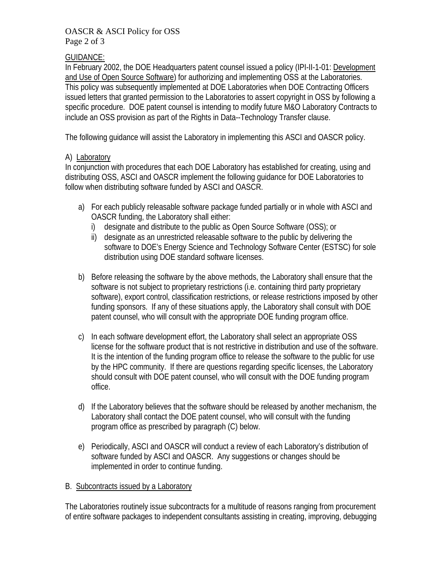#### OASCR & ASCI Policy for OSS Page 2 of 3

## GUIDANCE:

In February 2002, the DOE Headquarters patent counsel issued a policy (IPI-II-1-01: Development and Use of Open Source Software) for authorizing and implementing OSS at the Laboratories. This policy was subsequently implemented at DOE Laboratories when DOE Contracting Officers issued letters that granted permission to the Laboratories to assert copyright in OSS by following a specific procedure. DOE patent counsel is intending to modify future M&O Laboratory Contracts to include an OSS provision as part of the Rights in Data--Technology Transfer clause.

The following guidance will assist the Laboratory in implementing this ASCI and OASCR policy.

## A) Laboratory

In conjunction with procedures that each DOE Laboratory has established for creating, using and distributing OSS, ASCI and OASCR implement the following guidance for DOE Laboratories to follow when distributing software funded by ASCI and OASCR.

- a) For each publicly releasable software package funded partially or in whole with ASCI and OASCR funding, the Laboratory shall either:
	- i) designate and distribute to the public as Open Source Software (OSS); or
	- ii) designate as an unrestricted releasable software to the public by delivering the software to DOE's Energy Science and Technology Software Center (ESTSC) for sole distribution using DOE standard software licenses.
- b) Before releasing the software by the above methods, the Laboratory shall ensure that the software is not subject to proprietary restrictions (i.e. containing third party proprietary software), export control, classification restrictions, or release restrictions imposed by other funding sponsors. If any of these situations apply, the Laboratory shall consult with DOE patent counsel, who will consult with the appropriate DOE funding program office.
- c) In each software development effort, the Laboratory shall select an appropriate OSS license for the software product that is not restrictive in distribution and use of the software. It is the intention of the funding program office to release the software to the public for use by the HPC community. If there are questions regarding specific licenses, the Laboratory should consult with DOE patent counsel, who will consult with the DOE funding program office.
- d) If the Laboratory believes that the software should be released by another mechanism, the Laboratory shall contact the DOE patent counsel, who will consult with the funding program office as prescribed by paragraph (C) below.
- e) Periodically, ASCI and OASCR will conduct a review of each Laboratory's distribution of software funded by ASCI and OASCR. Any suggestions or changes should be implemented in order to continue funding.

# B. Subcontracts issued by a Laboratory

The Laboratories routinely issue subcontracts for a multitude of reasons ranging from procurement of entire software packages to independent consultants assisting in creating, improving, debugging